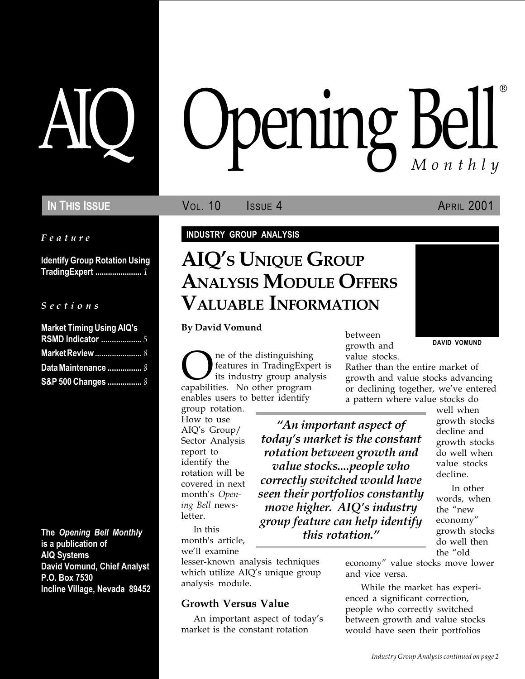# **IN THIS ISSUE VOL. 10** ISSUE 4 APRIL 2001

Feature

Identify Group Rotation Using TradingExpert ...................... 1

S e c t i o n s

| <b>Market Timing Using AIQ's</b> |  |
|----------------------------------|--|
| <b>RSMD Indicator </b> 5         |  |
| <b>Market Review </b> 8          |  |
| Data Maintenance  8              |  |
| S&P 500 Changes  8               |  |

The Opening Bell Monthly is a publication of AIQ Systems David Vomund, Chief Analyst P.O. Box 7530 Incline Village, Nevada 89452

# pening Bell ®

## INDUSTRY GROUP ANALYSIS

# AIQ'S UNIQUE GROUP ANALYSIS MODULE OFFERS VALUABLE INFORMATION

By David Vomund

**ONET THE ONE ONE OR A SET SERVIET STARK CONTROVER SURFERENCE AND REPORT AND CONTROLLER SURFERENCE SURFERENCE SURFERENCE SURFERENCE SURFERENCE SURFERENCE SURFERENCE SURFERENCE SURFERENCE SURFERENCE SURFERENCE SURFERENCE SU** features in TradingExpert is its industry group analysis enables users to better identify

group rotation. How to use AIQ's  $Group/$ Sector Analysis report to identify the rotation will be covered in next month's Opening Bell newsletter.

In this month's article, we'll examine

lesser-known analysis techniques which utilize  $AIQ's$  unique group analysis module.

# Growth Versus Value

An important aspect of today's market is the constant rotation

between growth and value stocks.

Rather than the entire market of growth and value stocks advancing or declining together, we've entered a pattern where value stocks do

An important aspect of today's market is the constant rotation between growth and value stocks....people who correctly switched would have seen their portfolios constantly move higher. AIQ's industry group feature can help identify this rotation.

well when growth stocks decline and growth stocks do well when value stocks decline.

In other words, when the "new economy growth stocks do well then the "old

economy" value stocks move lower and vice versa.

While the market has experienced a significant correction, people who correctly switched between growth and value stocks would have seen their portfolios

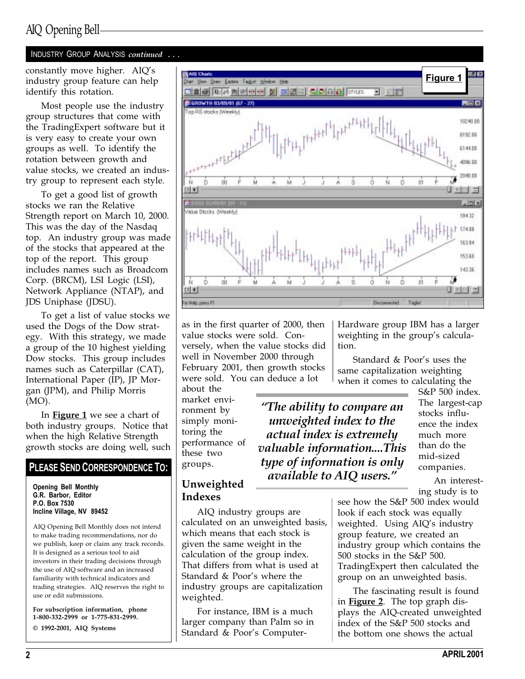# INDUSTRY GROUP ANALYSIS continued . . .

industry group feature can help identify this rotation.

Most people use the industry group structures that come with the TradingExpert software but it is very easy to create your own groups as well. To identify the rotation between growth and value stocks, we created an industry group to represent each style.

To get a good list of growth stocks we ran the Relative Strength report on March 10, 2000. This was the day of the Nasdaq top. An industry group was made of the stocks that appeared at the top of the report. This group includes names such as Broadcom Corp. (BRCM), LSI Logic (LSI), Network Appliance (NTAP), and JDS Uniphase (JDSU).

To get a list of value stocks we used the Dogs of the Dow strategy. With this strategy, we made a group of the 10 highest yielding Dow stocks. This group includes names such as Caterpillar (CAT), International Paper (IP), JP Morgan (JPM), and Philip Morris (MO).

In **Figure 1** we see a chart of both industry groups. Notice that when the high Relative Strength growth stocks are doing well, such

# PLEASE SEND CORRESPONDENCE TO:

Opening Bell Monthly G.R. Barbor, Editor P.O. Box 7530 Incline Village, NV 89452

AIQ Opening Bell Monthly does not intend to make trading recommendations, nor do we publish, keep or claim any track records. It is designed as a serious tool to aid investors in their trading decisions through the use of AIQ software and an increased familiarity with technical indicators and trading strategies. AIQ reserves the right to use or edit submissions.

For subscription information, phone 1-800-332-2999 or 1-775-831-2999.

© 1992-2001, AIQ Systems



as in the first quarter of 2000, then value stocks were sold. Conversely, when the value stocks did well in November 2000 through February 2001, then growth stocks were sold. You can deduce a lot

about the market environment by simply monitoring the performance of these two groups.

Unweighted Indexes

Hardware group IBM has a larger weighting in the group's calculation.

Standard & Poor's uses the same capitalization weighting when it comes to calculating the

The ability to compare an unweighted index to the actual index is extremely valuable information....This type of information is only available to AIQ users.

S&P 500 index. The largest-cap stocks influence the index much more than do the mid-sized companies.

An interesting study is to

AIQ industry groups are calculated on an unweighted basis, which means that each stock is given the same weight in the calculation of the group index. That differs from what is used at Standard & Poor's where the industry groups are capitalization weighted.

For instance, IBM is a much larger company than Palm so in Standard & Poor's Computersee how the S&P 500 index would look if each stock was equally weighted. Using AIQ's industry group feature, we created an industry group which contains the 500 stocks in the S&P 500. TradingExpert then calculated the group on an unweighted basis.

The fascinating result is found in **Figure 2**. The top graph displays the AIQ-created unweighted index of the S&P 500 stocks and the bottom one shows the actual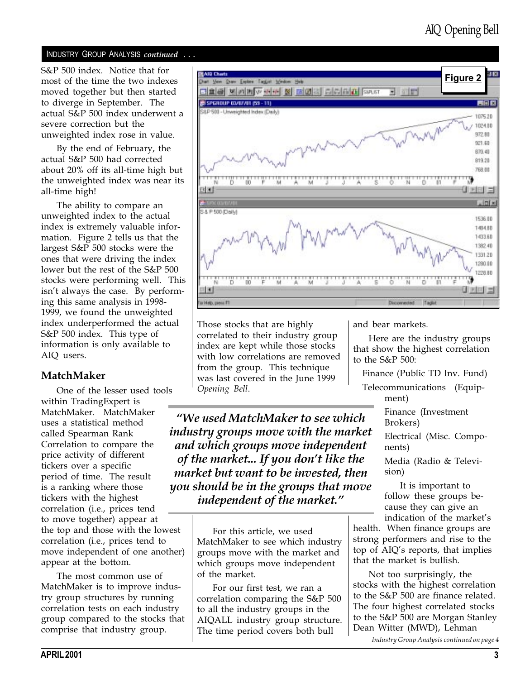#### INDUSTRY GROUP ANALYSIS continued . . .

S&P 500 index. Notice that for most of the time the two indexes moved together but then started to diverge in September. The actual S&P 500 index underwent a severe correction but the unweighted index rose in value.

By the end of February, the actual S&P 500 had corrected about 20% off its all-time high but the unweighted index was near its all-time high!

The ability to compare an unweighted index to the actual index is extremely valuable information. Figure 2 tells us that the largest S&P 500 stocks were the ones that were driving the index lower but the rest of the S&P 500 stocks were performing well. This isn't always the case. By performing this same analysis in 1998- 1999, we found the unweighted index underperformed the actual S&P 500 index. This type of information is only available to AIQ users.

## MatchMaker

One of the lesser used tools within TradingExpert is MatchMaker. MatchMaker uses a statistical method called Spearman Rank Correlation to compare the price activity of different tickers over a specific period of time. The result is a ranking where those tickers with the highest correlation (i.e., prices tend to move together) appear at the top and those with the lowest correlation (i.e., prices tend to move independent of one another) appear at the bottom.

The most common use of MatchMaker is to improve industry group structures by running correlation tests on each industry group compared to the stocks that comprise that industry group.



Those stocks that are highly correlated to their industry group index are kept while those stocks with low correlations are removed from the group. This technique was last covered in the June 1999 Opening Bell.

We used MatchMaker to see which industry groups move with the market and which groups move independent of the market... If you don't like the market but want to be invested, then you should be in the groups that move independent of the market.

> For this article, we used MatchMaker to see which industry groups move with the market and which groups move independent of the market.

> For our first test, we ran a correlation comparing the S&P 500 to all the industry groups in the AIQALL industry group structure. The time period covers both bull

and bear markets.

Here are the industry groups that show the highest correlation to the S&P 500:

Finance (Public TD Inv. Fund)

Telecommunications (Equipment)

> Finance (Investment Brokers)

Electrical (Misc. Components)

Media (Radio & Television)

It is important to follow these groups because they can give an indication of the market's

health. When finance groups are strong performers and rise to the top of  $AIQ's$  reports, that implies that the market is bullish.

Not too surprisingly, the stocks with the highest correlation to the S&P 500 are finance related. The four highest correlated stocks to the S&P 500 are Morgan Stanley Dean Witter (MWD), Lehman

Industry Group Analysis continued on page 4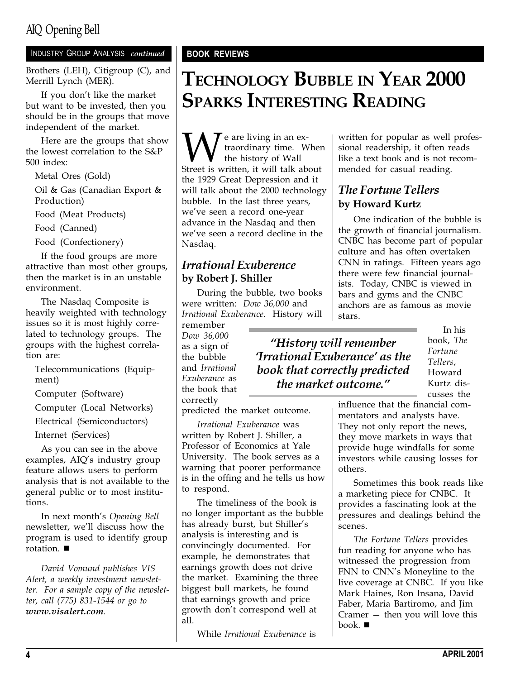# AIQ Opening Bell

### INDUSTRY GROUP ANALYSIS continued

Brothers (LEH), Citigroup (C), and Merrill Lynch (MER).

If you don't like the market but want to be invested, then you should be in the groups that move independent of the market.

Here are the groups that show the lowest correlation to the S&P 500 index:

Metal Ores (Gold)

Oil & Gas (Canadian Export & Production)

Food (Meat Products)

Food (Canned)

Food (Confectionery)

If the food groups are more attractive than most other groups, then the market is in an unstable environment.

The Nasdaq Composite is heavily weighted with technology issues so it is most highly correlated to technology groups. The groups with the highest correlation are:

Telecommunications (Equipment)

Computer (Software)

Computer (Local Networks)

Electrical (Semiconductors)

Internet (Services)

As you can see in the above examples, AIQ's industry group feature allows users to perform analysis that is not available to the general public or to most institutions.

In next month's Opening Bell newsletter, we'll discuss how the program is used to identify group rotation.  $\blacksquare$ 

David Vomund publishes VIS Alert, a weekly investment newsletter. For a sample copy of the newsletter, call (775) 831-1544 or go to www.visalert.com.

# BOOK REVIEWS

# TECHNOLOGY BUBBLE IN YEAR 2000 SPARKS INTERESTING READING

We are living in an ex-<br>traordinary time. When<br>Street is written, it will talk about traordinary time. When the history of Wall the 1929 Great Depression and it will talk about the 2000 technology bubble. In the last three years, we've seen a record one-year advance in the Nasdaq and then we've seen a record decline in the Nasdaq.

# Irrational Exuberence by Robert J. Shiller

During the bubble, two books were written: Dow 36,000 and Irrational Exuberance. History will

remember Dow 36,000 as a sign of the bubble and Irrational Exuberance as the book that correctly

predicted the market outcome.

Irrational Exuberance was written by Robert J. Shiller, a Professor of Economics at Yale University. The book serves as a warning that poorer performance is in the offing and he tells us how to respond.

The timeliness of the book is no longer important as the bubble has already burst, but Shiller's analysis is interesting and is convincingly documented. For example, he demonstrates that earnings growth does not drive the market. Examining the three biggest bull markets, he found that earnings growth and price growth don't correspond well at all.

While Irrational Exuberance is

written for popular as well professional readership, it often reads like a text book and is not recommended for casual reading.

# The Fortune Tellers by Howard Kurtz

One indication of the bubble is the growth of financial journalism. CNBC has become part of popular culture and has often overtaken CNN in ratings. Fifteen years ago there were few financial journalists. Today, CNBC is viewed in bars and gyms and the CNBC anchors are as famous as movie stars.

# History will remember **Trrational Exuberance' as the** book that correctly predicted the market outcome.

In his book, The Fortune Tellers, Howard Kurtz discusses the

influence that the financial commentators and analysts have. They not only report the news, they move markets in ways that provide huge windfalls for some investors while causing losses for others.

Sometimes this book reads like a marketing piece for CNBC. It provides a fascinating look at the pressures and dealings behind the scenes.

The Fortune Tellers provides fun reading for anyone who has witnessed the progression from FNN to CNN's Moneyline to the live coverage at CNBC. If you like Mark Haines, Ron Insana, David Faber, Maria Bartiromo, and Jim Cramer  $-$  then you will love this  $book.$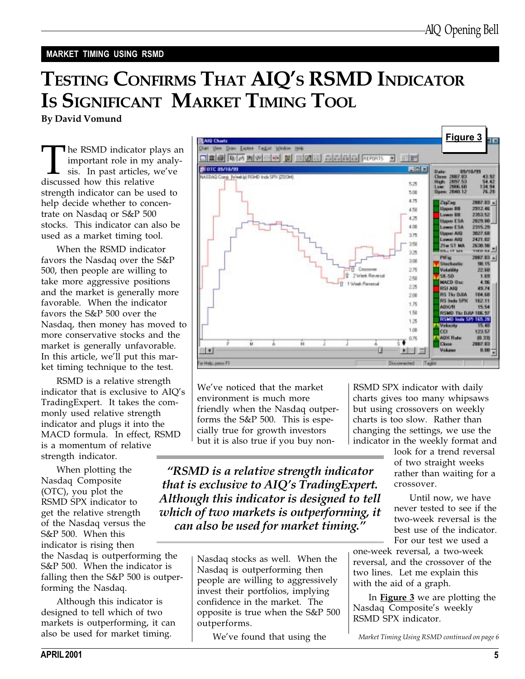## MARKET TIMING USING RSMD

# TESTING CONFIRMS THAT AIQ'S RSMD INDICATOR IS SIGNIFICANT MARKET TIMING TOOL

By David Vomund

The RSMD indicator plays an important role in my analysis. In past articles, we've discussed how this relative strength indicator can be used to help decide whether to concentrate on Nasdaq or S&P 500 stocks. This indicator can also be used as a market timing tool.

When the RSMD indicator favors the Nasdaq over the S&P 500, then people are willing to take more aggressive positions and the market is generally more favorable. When the indicator favors the S&P 500 over the Nasdaq, then money has moved to more conservative stocks and the market is generally unfavorable. In this article, we'll put this market timing technique to the test.

RSMD is a relative strength indicator that is exclusive to AIQ's TradingExpert. It takes the commonly used relative strength indicator and plugs it into the MACD formula. In effect, RSMD is a momentum of relative strength indicator.

When plotting the Nasdaq Composite (OTC), you plot the RSMD SPX indicator to get the relative strength of the Nasdaq versus the S&P 500. When this indicator is rising then the Nasdaq is outperforming the

S&P 500. When the indicator is falling then the S&P 500 is outperforming the Nasdaq.

Although this indicator is designed to tell which of two markets is outperforming, it can also be used for market timing.



We've noticed that the market environment is much more friendly when the Nasdaq outperforms the S&P 500. This is especially true for growth investors but it is also true if you buy non-

RSMD SPX indicator with daily charts gives too many whipsaws but using crossovers on weekly charts is too slow. Rather than changing the settings, we use the indicator in the weekly format and

> look for a trend reversal of two straight weeks rather than waiting for a crossover.

RSMD is a relative strength indicator that is exclusive to  $AIO$ 's TradingExpert. Although this indicator is designed to tell which of two markets is outperforming, it can also be used for market timing.

> Nasdaq stocks as well. When the Nasdaq is outperforming then people are willing to aggressively invest their portfolios, implying confidence in the market. The opposite is true when the S&P 500 outperforms.

We've found that using the

Until now, we have never tested to see if the two-week reversal is the best use of the indicator. For our test we used a

one-week reversal, a two-week reversal, and the crossover of the two lines. Let me explain this with the aid of a graph.

In **Figure 3** we are plotting the Nasdaq Composite's weekly RSMD SPX indicator.

Market Timing Using RSMD continued on page 6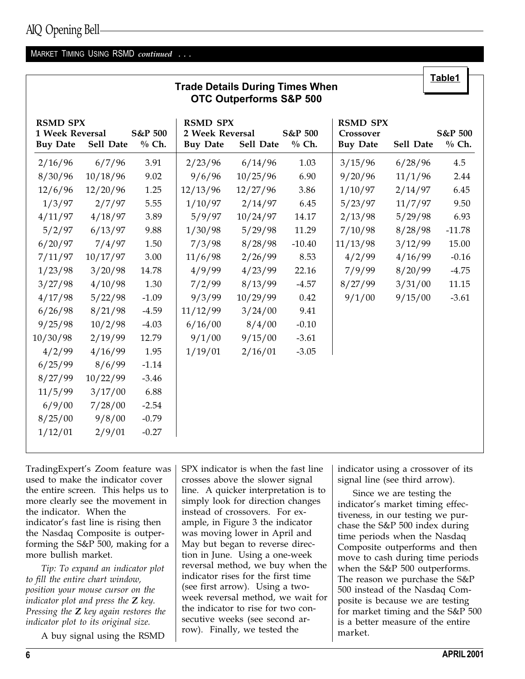# AIQ Opening Bell

#### MARKET TIMING USING RSMD continued . . .

| <u>Table1</u><br><b>Trade Details During Times When</b><br><b>OTC Outperforms S&amp;P 500</b> |           |                    |                                                       |           |                    |                                                 |           |                    |
|-----------------------------------------------------------------------------------------------|-----------|--------------------|-------------------------------------------------------|-----------|--------------------|-------------------------------------------------|-----------|--------------------|
| <b>RSMD SPX</b><br>1 Week Reversal<br><b>Buy Date</b>                                         | Sell Date | S&P 500<br>$%$ Ch. | <b>RSMD SPX</b><br>2 Week Reversal<br><b>Buy Date</b> | Sell Date | S&P 500<br>$%$ Ch. | <b>RSMD SPX</b><br>Crossover<br><b>Buy Date</b> | Sell Date | S&P 500<br>$%$ Ch. |
| 2/16/96                                                                                       | 6/7/96    | 3.91               | 2/23/96                                               | 6/14/96   | 1.03               | 3/15/96                                         | 6/28/96   | 4.5                |
| 8/30/96                                                                                       | 10/18/96  | 9.02               | 9/6/96                                                | 10/25/96  | 6.90               | 9/20/96                                         | 11/1/96   | 2.44               |
| 12/6/96                                                                                       | 12/20/96  | 1.25               | 12/13/96                                              | 12/27/96  | 3.86               | 1/10/97                                         | 2/14/97   | 6.45               |
| 1/3/97                                                                                        | 2/7/97    | 5.55               | 1/10/97                                               | 2/14/97   | 6.45               | 5/23/97                                         | 11/7/97   | 9.50               |
| 4/11/97                                                                                       | 4/18/97   | 3.89               | 5/9/97                                                | 10/24/97  | 14.17              | 2/13/98                                         | 5/29/98   | 6.93               |
| 5/2/97                                                                                        | 6/13/97   | 9.88               | 1/30/98                                               | 5/29/98   | 11.29              | 7/10/98                                         | 8/28/98   | $-11.78$           |
| 6/20/97                                                                                       | 7/4/97    | 1.50               | 7/3/98                                                | 8/28/98   | $-10.40$           | 11/13/98                                        | 3/12/99   | 15.00              |
| 7/11/97                                                                                       | 10/17/97  | 3.00               | 11/6/98                                               | 2/26/99   | 8.53               | 4/2/99                                          | 4/16/99   | $-0.16$            |
| 1/23/98                                                                                       | 3/20/98   | 14.78              | 4/9/99                                                | 4/23/99   | 22.16              | 7/9/99                                          | 8/20/99   | $-4.75$            |
| 3/27/98                                                                                       | 4/10/98   | 1.30               | 7/2/99                                                | 8/13/99   | $-4.57$            | 8/27/99                                         | 3/31/00   | 11.15              |
| 4/17/98                                                                                       | 5/22/98   | $-1.09$            | 9/3/99                                                | 10/29/99  | 0.42               | 9/1/00                                          | 9/15/00   | $-3.61$            |
| 6/26/98                                                                                       | 8/21/98   | $-4.59$            | 11/12/99                                              | 3/24/00   | 9.41               |                                                 |           |                    |
| 9/25/98                                                                                       | 10/2/98   | $-4.03$            | 6/16/00                                               | 8/4/00    | $-0.10$            |                                                 |           |                    |
| 10/30/98                                                                                      | 2/19/99   | 12.79              | 9/1/00                                                | 9/15/00   | $-3.61$            |                                                 |           |                    |
| 4/2/99                                                                                        | 4/16/99   | 1.95               | 1/19/01                                               | 2/16/01   | $-3.05$            |                                                 |           |                    |
| 6/25/99                                                                                       | 8/6/99    | $-1.14$            |                                                       |           |                    |                                                 |           |                    |
| 8/27/99                                                                                       | 10/22/99  | $-3.46$            |                                                       |           |                    |                                                 |           |                    |
| 11/5/99                                                                                       | 3/17/00   | 6.88               |                                                       |           |                    |                                                 |           |                    |
| 6/9/00                                                                                        | 7/28/00   | $-2.54$            |                                                       |           |                    |                                                 |           |                    |
| 8/25/00                                                                                       | 9/8/00    | $-0.79$            |                                                       |           |                    |                                                 |           |                    |
| 1/12/01                                                                                       | 2/9/01    | $-0.27$            |                                                       |           |                    |                                                 |           |                    |

TradingExpert's Zoom feature was used to make the indicator cover the entire screen. This helps us to more clearly see the movement in the indicator. When the indicator's fast line is rising then the Nasdaq Composite is outperforming the S&P 500, making for a more bullish market.

Tip: To expand an indicator plot to fill the entire chart window, position your mouse cursor on the indicator plot and press the  $Z$  key. Pressing the  $Z$  key again restores the indicator plot to its original size.

A buy signal using the RSMD

SPX indicator is when the fast line crosses above the slower signal line. A quicker interpretation is to simply look for direction changes instead of crossovers. For example, in Figure 3 the indicator was moving lower in April and May but began to reverse direction in June. Using a one-week reversal method, we buy when the indicator rises for the first time (see first arrow). Using a twoweek reversal method, we wait for the indicator to rise for two consecutive weeks (see second arrow). Finally, we tested the

indicator using a crossover of its signal line (see third arrow).

Table 1

T

Since we are testing the indicator's market timing effectiveness, in our testing we purchase the S&P 500 index during time periods when the Nasdaq Composite outperforms and then move to cash during time periods when the S&P 500 outperforms. The reason we purchase the S&P 500 instead of the Nasdaq Composite is because we are testing for market timing and the S&P 500 is a better measure of the entire market.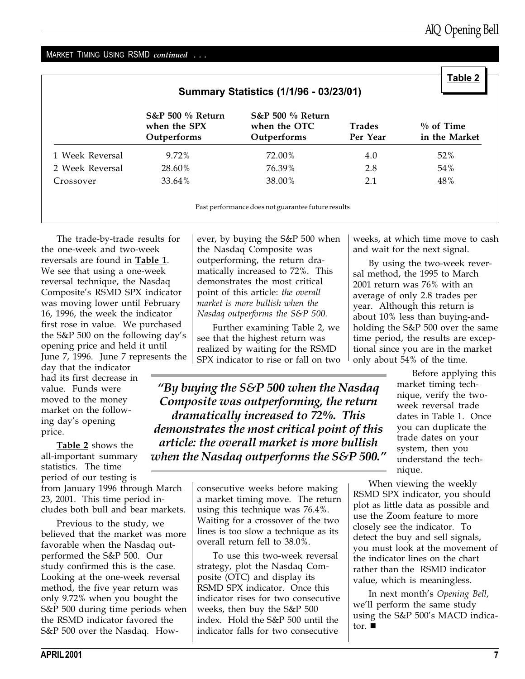#### MARKET TIMING USING RSMD continued . . .

| <b>Summary Statistics (1/1/96 - 03/23/01)</b> |                                                   |                                                            |                           |                               |  |  |
|-----------------------------------------------|---------------------------------------------------|------------------------------------------------------------|---------------------------|-------------------------------|--|--|
|                                               | $S&P 500 %$ Return<br>when the SPX<br>Outperforms | <b>S&amp;P 500 % Return</b><br>when the OTC<br>Outperforms | <b>Trades</b><br>Per Year | $\%$ of Time<br>in the Market |  |  |
| 1 Week Reversal                               | 9.72%                                             | 72.00%                                                     | 4.0                       | 52%                           |  |  |
| 2 Week Reversal                               | 28.60%                                            | 76.39%                                                     | 2.8                       | 54%                           |  |  |
| Crossover                                     | 33.64%                                            | 38.00%                                                     | 2.1                       | 48%                           |  |  |

Past performance does not guarantee future results

The trade-by-trade results for the one-week and two-week reversals are found in Table 1. We see that using a one-week reversal technique, the Nasdaq Composite's RSMD SPX indicator was moving lower until February 16, 1996, the week the indicator first rose in value. We purchased the S&P 500 on the following day's opening price and held it until June 7, 1996. June 7 represents the

day that the indicator had its first decrease in value. Funds were moved to the money market on the following day's opening price.

Table 2 shows the all-important summary statistics. The time period of our testing is from January 1996 through March

23, 2001. This time period includes both bull and bear markets. Previous to the study, we

believed that the market was more favorable when the Nasdaq outperformed the S&P 500. Our study confirmed this is the case. Looking at the one-week reversal method, the five year return was only 9.72% when you bought the S&P 500 during time periods when the RSMD indicator favored the S&P 500 over the Nasdaq. However, by buying the S&P 500 when the Nasdaq Composite was outperforming, the return dramatically increased to 72%. This demonstrates the most critical point of this article: the overall market is more bullish when the Nasdaq outperforms the S&P 500.

Further examining Table 2, we see that the highest return was realized by waiting for the RSMD SPX indicator to rise or fall on two

"By buying the  $S\&P$  500 when the Nasdaq Composite was outperforming, the return dramatically increased to 72%. This demonstrates the most critical point of this article: the overall market is more bullish when the Nasdaq outperforms the S&P 500.

> consecutive weeks before making a market timing move. The return using this technique was 76.4%. Waiting for a crossover of the two lines is too slow a technique as its overall return fell to 38.0%.

> To use this two-week reversal strategy, plot the Nasdaq Composite (OTC) and display its RSMD SPX indicator. Once this indicator rises for two consecutive weeks, then buy the S&P 500 index. Hold the S&P 500 until the indicator falls for two consecutive

weeks, at which time move to cash and wait for the next signal.

By using the two-week reversal method, the 1995 to March 2001 return was 76% with an average of only 2.8 trades per year. Although this return is about 10% less than buying-andholding the S&P 500 over the same time period, the results are exceptional since you are in the market only about 54% of the time.

> Before applying this market timing technique, verify the twoweek reversal trade dates in Table 1. Once you can duplicate the trade dates on your system, then you understand the technique.

When viewing the weekly RSMD SPX indicator, you should plot as little data as possible and use the Zoom feature to more closely see the indicator. To detect the buy and sell signals, you must look at the movement of the indicator lines on the chart rather than the RSMD indicator value, which is meaningless.

In next month's Opening Bell, we'll perform the same study using the S&P 500's MACD indicator.  $\blacksquare$